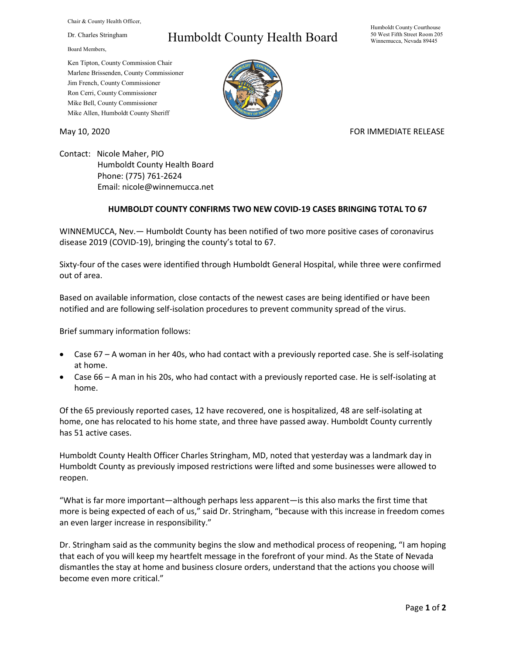Chair & County Health Officer,

Dr. Charles Stringham

Board Members,

## Humboldt County Health Board

Humboldt County Courthouse 50 West Fifth Street Room 205 Winnemucca, Nevada 89445

Ken Tipton, County Commission Chair Marlene Brissenden, County Commissioner Jim French, County Commissioner Ron Cerri, County Commissioner Mike Bell, County Commissioner Mike Allen, Humboldt County Sheriff

May 10, 2020 **FOR IMMEDIATE RELEASE** 

Contact: Nicole Maher, PIO Humboldt County Health Board Phone: (775) 761-2624 Email: nicole@winnemucca.net

## **HUMBOLDT COUNTY CONFIRMS TWO NEW COVID-19 CASES BRINGING TOTAL TO 67**

WINNEMUCCA, Nev.— Humboldt County has been notified of two more positive cases of coronavirus disease 2019 (COVID-19), bringing the county's total to 67.

Sixty-four of the cases were identified through Humboldt General Hospital, while three were confirmed out of area.

Based on available information, close contacts of the newest cases are being identified or have been notified and are following self-isolation procedures to prevent community spread of the virus.

Brief summary information follows:

- Case 67 A woman in her 40s, who had contact with a previously reported case. She is self-isolating at home.
- Case 66 A man in his 20s, who had contact with a previously reported case. He is self-isolating at home.

Of the 65 previously reported cases, 12 have recovered, one is hospitalized, 48 are self-isolating at home, one has relocated to his home state, and three have passed away. Humboldt County currently has 51 active cases.

Humboldt County Health Officer Charles Stringham, MD, noted that yesterday was a landmark day in Humboldt County as previously imposed restrictions were lifted and some businesses were allowed to reopen.

"What is far more important—although perhaps less apparent—is this also marks the first time that more is being expected of each of us," said Dr. Stringham, "because with this increase in freedom comes an even larger increase in responsibility."

Dr. Stringham said as the community begins the slow and methodical process of reopening, "I am hoping that each of you will keep my heartfelt message in the forefront of your mind. As the State of Nevada dismantles the stay at home and business closure orders, understand that the actions you choose will become even more critical."